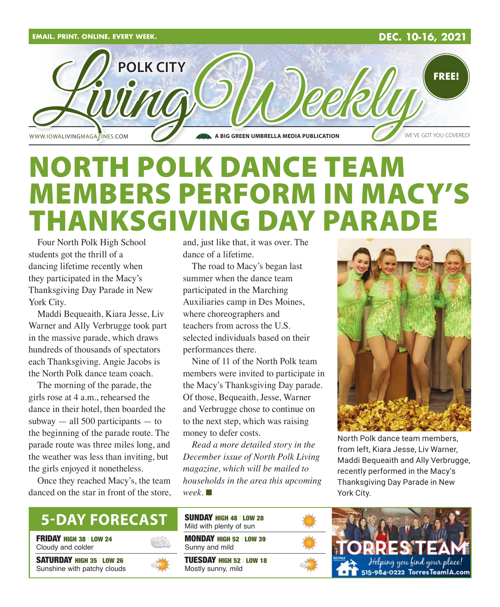

## NORTH POLK DANCE TEAM MEMBERS PERFORM IN MACY'S THANKSGIVING DAY PARA

Four North Polk High School students got the thrill of a dancing lifetime recently when they participated in the Macy's Thanksgiving Day Parade in New York City.

Maddi Bequeaith, Kiara Jesse, Liv Warner and Ally Verbrugge took part in the massive parade, which draws hundreds of thousands of spectators each Thanksgiving. Angie Jacobs is the North Polk dance team coach.

The morning of the parade, the girls rose at 4 a.m., rehearsed the dance in their hotel, then boarded the subway  $-$  all 500 participants  $-$  to the beginning of the parade route. The parade route was three miles long, and the weather was less than inviting, but the girls enjoyed it nonetheless.

Once they reached Macy's, the team danced on the star in front of the store, and, just like that, it was over. The dance of a lifetime.

The road to Macy's began last summer when the dance team participated in the Marching Auxiliaries camp in Des Moines, where choreographers and teachers from across the U.S. selected individuals based on their performances there.

Nine of 11 of the North Polk team members were invited to participate in the Macy's Thanksgiving Day parade. Of those, Bequeaith, Jesse, Warner and Verbrugge chose to continue on to the next step, which was raising money to defer costs.

*Read a more detailed story in the December issue of North Polk Living magazine, which will be mailed to households in the area this upcoming*   $week. \blacksquare$ 



North Polk dance team members, from left, Kiara Jesse, Liv Warner, Maddi Bequeaith and Ally Verbrugge, recently performed in the Macy's Thanksgiving Day Parade in New York City.

### **5-DAY FORECAST**

**FRIDAY HIGH 38 | LOW 24** Cloudy and colder

SATURDAY HIGH 35 | LOW 26 Sunshine with patchy clouds



MONDAY HIGH 52 | LOW 39 Sunny and mild SUNDAY HIGH 48 | LOW 28 Mild with plenty of sun

TUESDAY HIGH 52 | LOW 18 Mostly sunny, mild



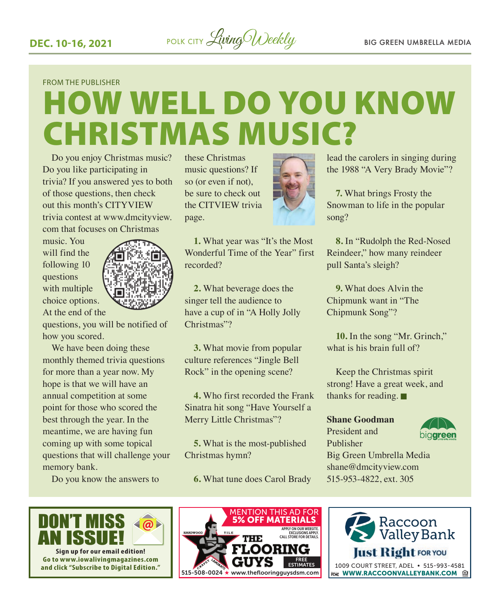

#### FROM THE PUBLISHER

# HOW WELL DO YOU KNOW CHRISTMAS MUSIC?

Do you enjoy Christmas music? Do you like participating in trivia? If you answered yes to both of those questions, then check out this month's CITYVIEW trivia contest at www.dmcityview. com that focuses on Christmas

music. You will find the following 10 questions with multiple choice options. At the end of the



questions, you will be notified of how you scored.

We have been doing these monthly themed trivia questions for more than a year now. My hope is that we will have an annual competition at some point for those who scored the best through the year. In the meantime, we are having fun coming up with some topical questions that will challenge your memory bank.

Do you know the answers to



**1.** What year was "It's the Most Wonderful Time of the Year" first recorded?

**2.** What beverage does the singer tell the audience to have a cup of in "A Holly Jolly Christmas"?

**3.** What movie from popular culture references "Jingle Bell Rock" in the opening scene?

**4.** Who first recorded the Frank Sinatra hit song "Have Yourself a Merry Little Christmas"?

**5.** What is the most-published Christmas hymn? Big Gre

**6.** What tune does Carol Brady 515-953-48



lead the carolers in singing during the 1988 "A Very Brady Movie"?

**7.** What brings Frosty the Snowman to life in the popular song?

**8.** In "Rudolph the Red-Nosed Reindeer," how many reindeer pull Santa's sleigh?

**9.** What does Alvin the Chipmunk want in "The Chipmunk Song"?

**10.** In the song "Mr. Grinch," what is his brain full of?

Keep the Christmas spirit strong! Have a great week, and thanks for reading.  $\blacksquare$ 

#### **Shane Goodman**

President and Publisher



Big Green Umbrella Media shane@dmcityview.com 515-953-4822, ext. 305



**Sign up for our email edition! Go to www.iowalivingmagazines.com and click "Subscribe to Digital Edition."**



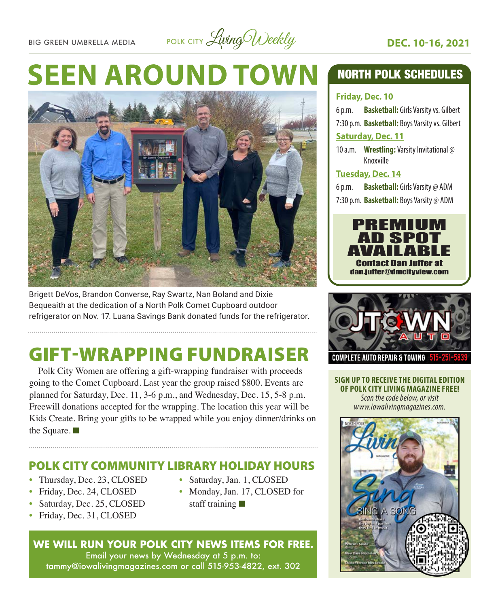BIG GREEN UMBRELLA MEDIA POLK CITY Living Weekly **DEC. 10-16, 2021** 

# **SEEN AROUND TOWN**



Brigett DeVos, Brandon Converse, Ray Swartz, Nan Boland and Dixie Bequeaith at the dedication of a North Polk Comet Cupboard outdoor refrigerator on Nov. 17. Luana Savings Bank donated funds for the refrigerator.

## GIFT-WRAPPING FUNDRAISER

Polk City Women are offering a gift-wrapping fundraiser with proceeds going to the Comet Cupboard. Last year the group raised \$800. Events are planned for Saturday, Dec. 11, 3-6 p.m., and Wednesday, Dec. 15, 5-8 p.m. Freewill donations accepted for the wrapping. The location this year will be Kids Create. Bring your gifts to be wrapped while you enjoy dinner/drinks on the Square.  $\blacksquare$ 

#### POLK CITY COMMUNITY LIBRARY HOLIDAY HOURS

- Thursday, Dec. 23, CLOSED
- Friday, Dec. 24, CLOSED
- Saturday, Dec. 25, CLOSED
- Friday, Dec. 31, CLOSED
- Saturday, Jan. 1, CLOSED
- Monday, Jan. 17, CLOSED for staff training  $\blacksquare$

#### **WE WILL RUN YOUR POLK CITY NEWS ITEMS FOR FREE.**

Email your news by Wednesday at 5 p.m. to: tammy@iowalivingmagazines.com or call 515-953-4822, ext. 302

#### NORTH POLK SCHEDULES

#### **Friday, Dec. 10**

6 p.m. **Basketball:** Girls Varsity vs. Gilbert 7:30 p.m. **Basketball:** Boys Varsity vs. Gilbert **Saturday, Dec. 11**

10 a.m. **Wrestling:** Varsity Invitational @ Knoxville

#### **Tuesday, Dec. 14**

6 p.m. **Basketball:** Girls Varsity @ ADM 7:30 p.m. **Basketball:** Boys Varsity @ ADM





**SIGN UP TO RECEIVE THE DIGITAL EDITION OF POLK CITY LIVING MAGAZINE FREE!**  *Scan the code below, or visit www.iowalivingmagazines.com.*